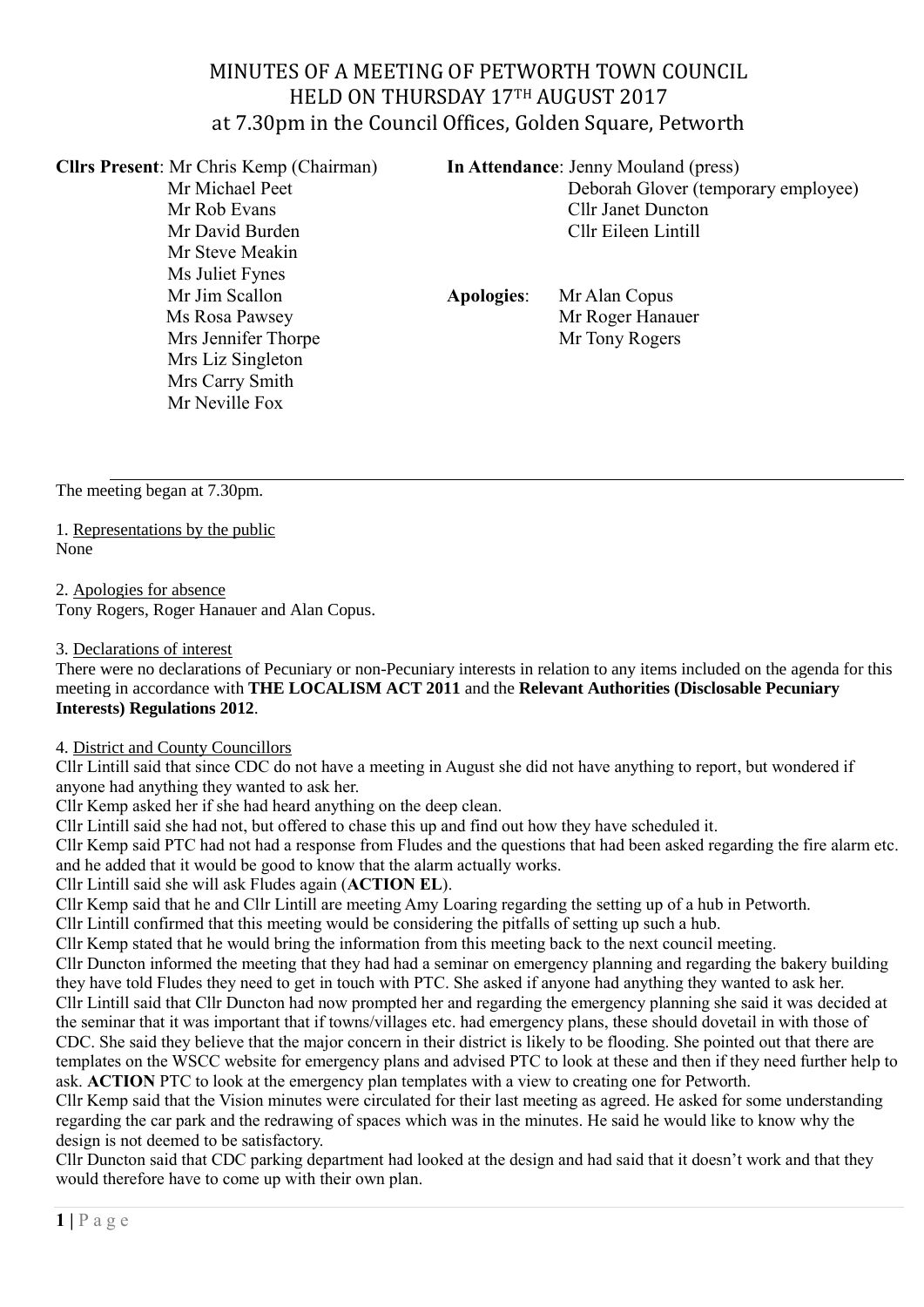# MINUTES OF A MEETING OF PETWORTH TOWN COUNCIL HELD ON THURSDAY 17TH AUGUST 2017 at 7.30pm in the Council Offices, Golden Square, Petworth

**Cllrs Present**: Mr Chris Kemp (Chairman) **In Attendance**: Jenny Mouland (press)

Mr Steve Meakin Ms Juliet Fynes Mr Jim Scallon **Apologies**: Mr Alan Copus Mrs Jennifer Thorpe Mr Tony Rogers Mrs Liz Singleton Mrs Carry Smith Mr Neville Fox

Mr Michael Peet Deborah Glover (temporary employee) Mr Rob Evans **Cllr** Janet Duncton Mr David Burden Cllr Eileen Lintill

Ms Rosa Pawsey **Mr Roger Hanauer** 

The meeting began at 7.30pm.

1. Representations by the public None

2. Apologies for absence

Tony Rogers, Roger Hanauer and Alan Copus.

# 3. Declarations of interest

There were no declarations of Pecuniary or non-Pecuniary interests in relation to any items included on the agenda for this meeting in accordance with **THE LOCALISM ACT 2011** and the **Relevant Authorities (Disclosable Pecuniary Interests) Regulations 2012**.

4. District and County Councillors

Cllr Lintill said that since CDC do not have a meeting in August she did not have anything to report, but wondered if anyone had anything they wanted to ask her.

Cllr Kemp asked her if she had heard anything on the deep clean.

Cllr Lintill said she had not, but offered to chase this up and find out how they have scheduled it.

Cllr Kemp said PTC had not had a response from Fludes and the questions that had been asked regarding the fire alarm etc. and he added that it would be good to know that the alarm actually works.

Cllr Lintill said she will ask Fludes again (**ACTION EL**).

Cllr Kemp said that he and Cllr Lintill are meeting Amy Loaring regarding the setting up of a hub in Petworth.

Cllr Lintill confirmed that this meeting would be considering the pitfalls of setting up such a hub.

Cllr Kemp stated that he would bring the information from this meeting back to the next council meeting.

Cllr Duncton informed the meeting that they had had a seminar on emergency planning and regarding the bakery building they have told Fludes they need to get in touch with PTC. She asked if anyone had anything they wanted to ask her. Cllr Lintill said that Cllr Duncton had now prompted her and regarding the emergency planning she said it was decided at the seminar that it was important that if towns/villages etc. had emergency plans, these should dovetail in with those of CDC. She said they believe that the major concern in their district is likely to be flooding. She pointed out that there are templates on the WSCC website for emergency plans and advised PTC to look at these and then if they need further help to

ask. **ACTION** PTC to look at the emergency plan templates with a view to creating one for Petworth.

Cllr Kemp said that the Vision minutes were circulated for their last meeting as agreed. He asked for some understanding regarding the car park and the redrawing of spaces which was in the minutes. He said he would like to know why the design is not deemed to be satisfactory.

Cllr Duncton said that CDC parking department had looked at the design and had said that it doesn't work and that they would therefore have to come up with their own plan.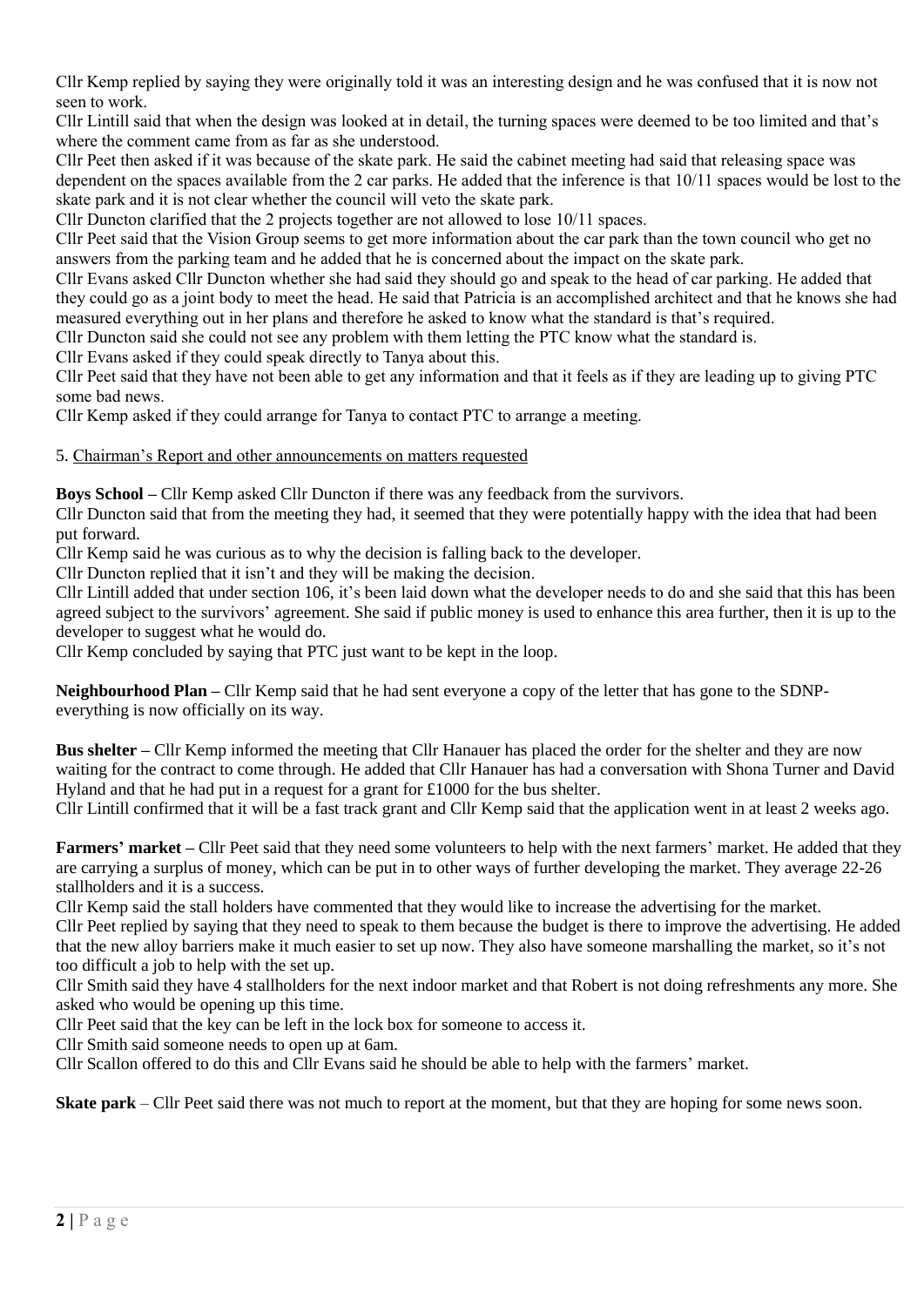Cllr Kemp replied by saying they were originally told it was an interesting design and he was confused that it is now not seen to work.

Cllr Lintill said that when the design was looked at in detail, the turning spaces were deemed to be too limited and that's where the comment came from as far as she understood.

Cllr Peet then asked if it was because of the skate park. He said the cabinet meeting had said that releasing space was dependent on the spaces available from the 2 car parks. He added that the inference is that 10/11 spaces would be lost to the skate park and it is not clear whether the council will veto the skate park.

Cllr Duncton clarified that the 2 projects together are not allowed to lose 10/11 spaces.

Cllr Peet said that the Vision Group seems to get more information about the car park than the town council who get no answers from the parking team and he added that he is concerned about the impact on the skate park.

Cllr Evans asked Cllr Duncton whether she had said they should go and speak to the head of car parking. He added that they could go as a joint body to meet the head. He said that Patricia is an accomplished architect and that he knows she had measured everything out in her plans and therefore he asked to know what the standard is that's required.

Cllr Duncton said she could not see any problem with them letting the PTC know what the standard is.

Cllr Evans asked if they could speak directly to Tanya about this.

Cllr Peet said that they have not been able to get any information and that it feels as if they are leading up to giving PTC some bad news.

Cllr Kemp asked if they could arrange for Tanya to contact PTC to arrange a meeting.

5. Chairman's Report and other announcements on matters requested

**Boys School –** Cllr Kemp asked Cllr Duncton if there was any feedback from the survivors.

Cllr Duncton said that from the meeting they had, it seemed that they were potentially happy with the idea that had been put forward.

Cllr Kemp said he was curious as to why the decision is falling back to the developer.

Cllr Duncton replied that it isn't and they will be making the decision.

Cllr Lintill added that under section 106, it's been laid down what the developer needs to do and she said that this has been agreed subject to the survivors' agreement. She said if public money is used to enhance this area further, then it is up to the developer to suggest what he would do.

Cllr Kemp concluded by saying that PTC just want to be kept in the loop.

**Neighbourhood Plan –** Cllr Kemp said that he had sent everyone a copy of the letter that has gone to the SDNPeverything is now officially on its way.

**Bus shelter –** Cllr Kemp informed the meeting that Cllr Hanauer has placed the order for the shelter and they are now waiting for the contract to come through. He added that Cllr Hanauer has had a conversation with Shona Turner and David Hyland and that he had put in a request for a grant for £1000 for the bus shelter.

Cllr Lintill confirmed that it will be a fast track grant and Cllr Kemp said that the application went in at least 2 weeks ago.

**Farmers' market –** Cllr Peet said that they need some volunteers to help with the next farmers' market. He added that they are carrying a surplus of money, which can be put in to other ways of further developing the market. They average 22-26 stallholders and it is a success.

Cllr Kemp said the stall holders have commented that they would like to increase the advertising for the market.

Cllr Peet replied by saying that they need to speak to them because the budget is there to improve the advertising. He added that the new alloy barriers make it much easier to set up now. They also have someone marshalling the market, so it's not too difficult a job to help with the set up.

Cllr Smith said they have 4 stallholders for the next indoor market and that Robert is not doing refreshments any more. She asked who would be opening up this time.

Cllr Peet said that the key can be left in the lock box for someone to access it.

Cllr Smith said someone needs to open up at 6am.

Cllr Scallon offered to do this and Cllr Evans said he should be able to help with the farmers' market.

**Skate park** – Cllr Peet said there was not much to report at the moment, but that they are hoping for some news soon.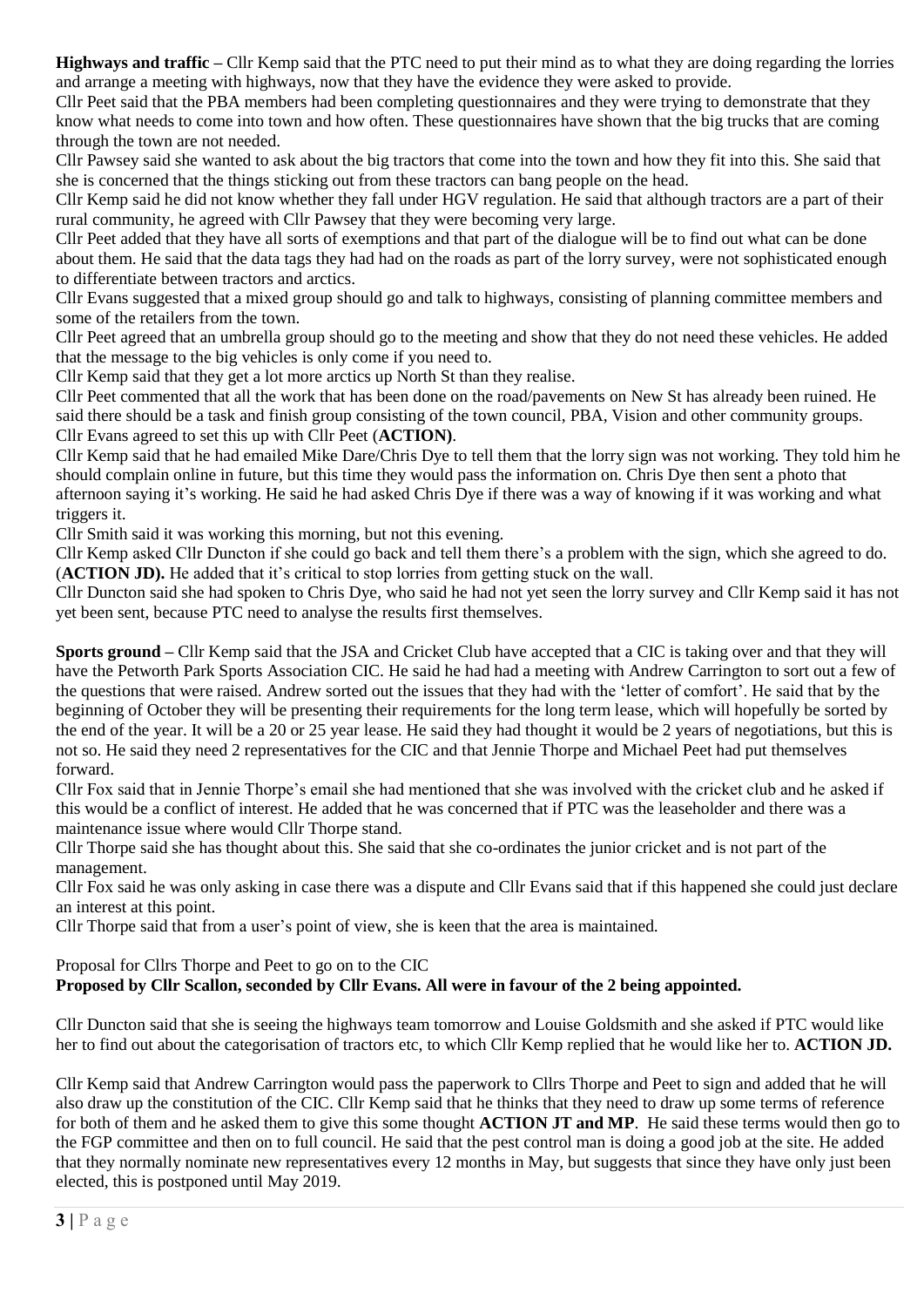**Highways and traffic –** Cllr Kemp said that the PTC need to put their mind as to what they are doing regarding the lorries and arrange a meeting with highways, now that they have the evidence they were asked to provide.

Cllr Peet said that the PBA members had been completing questionnaires and they were trying to demonstrate that they know what needs to come into town and how often. These questionnaires have shown that the big trucks that are coming through the town are not needed.

Cllr Pawsey said she wanted to ask about the big tractors that come into the town and how they fit into this. She said that she is concerned that the things sticking out from these tractors can bang people on the head.

Cllr Kemp said he did not know whether they fall under HGV regulation. He said that although tractors are a part of their rural community, he agreed with Cllr Pawsey that they were becoming very large.

Cllr Peet added that they have all sorts of exemptions and that part of the dialogue will be to find out what can be done about them. He said that the data tags they had had on the roads as part of the lorry survey, were not sophisticated enough to differentiate between tractors and arctics.

Cllr Evans suggested that a mixed group should go and talk to highways, consisting of planning committee members and some of the retailers from the town.

Cllr Peet agreed that an umbrella group should go to the meeting and show that they do not need these vehicles. He added that the message to the big vehicles is only come if you need to.

Cllr Kemp said that they get a lot more arctics up North St than they realise.

Cllr Peet commented that all the work that has been done on the road/pavements on New St has already been ruined. He said there should be a task and finish group consisting of the town council, PBA, Vision and other community groups. Cllr Evans agreed to set this up with Cllr Peet (**ACTION)**.

Cllr Kemp said that he had emailed Mike Dare/Chris Dye to tell them that the lorry sign was not working. They told him he should complain online in future, but this time they would pass the information on. Chris Dye then sent a photo that afternoon saying it's working. He said he had asked Chris Dye if there was a way of knowing if it was working and what triggers it.

Cllr Smith said it was working this morning, but not this evening.

Cllr Kemp asked Cllr Duncton if she could go back and tell them there's a problem with the sign, which she agreed to do. (**ACTION JD).** He added that it's critical to stop lorries from getting stuck on the wall.

Cllr Duncton said she had spoken to Chris Dye, who said he had not yet seen the lorry survey and Cllr Kemp said it has not yet been sent, because PTC need to analyse the results first themselves.

**Sports ground –** Cllr Kemp said that the JSA and Cricket Club have accepted that a CIC is taking over and that they will have the Petworth Park Sports Association CIC. He said he had had a meeting with Andrew Carrington to sort out a few of the questions that were raised. Andrew sorted out the issues that they had with the 'letter of comfort'. He said that by the beginning of October they will be presenting their requirements for the long term lease, which will hopefully be sorted by the end of the year. It will be a 20 or 25 year lease. He said they had thought it would be 2 years of negotiations, but this is not so. He said they need 2 representatives for the CIC and that Jennie Thorpe and Michael Peet had put themselves forward.

Cllr Fox said that in Jennie Thorpe's email she had mentioned that she was involved with the cricket club and he asked if this would be a conflict of interest. He added that he was concerned that if PTC was the leaseholder and there was a maintenance issue where would Cllr Thorpe stand.

Cllr Thorpe said she has thought about this. She said that she co-ordinates the junior cricket and is not part of the management.

Cllr Fox said he was only asking in case there was a dispute and Cllr Evans said that if this happened she could just declare an interest at this point.

Cllr Thorpe said that from a user's point of view, she is keen that the area is maintained.

Proposal for Cllrs Thorpe and Peet to go on to the CIC

# **Proposed by Cllr Scallon, seconded by Cllr Evans. All were in favour of the 2 being appointed.**

Cllr Duncton said that she is seeing the highways team tomorrow and Louise Goldsmith and she asked if PTC would like her to find out about the categorisation of tractors etc, to which Cllr Kemp replied that he would like her to. **ACTION JD.**

Cllr Kemp said that Andrew Carrington would pass the paperwork to Cllrs Thorpe and Peet to sign and added that he will also draw up the constitution of the CIC. Cllr Kemp said that he thinks that they need to draw up some terms of reference for both of them and he asked them to give this some thought **ACTION JT and MP**. He said these terms would then go to the FGP committee and then on to full council. He said that the pest control man is doing a good job at the site. He added that they normally nominate new representatives every 12 months in May, but suggests that since they have only just been elected, this is postponed until May 2019.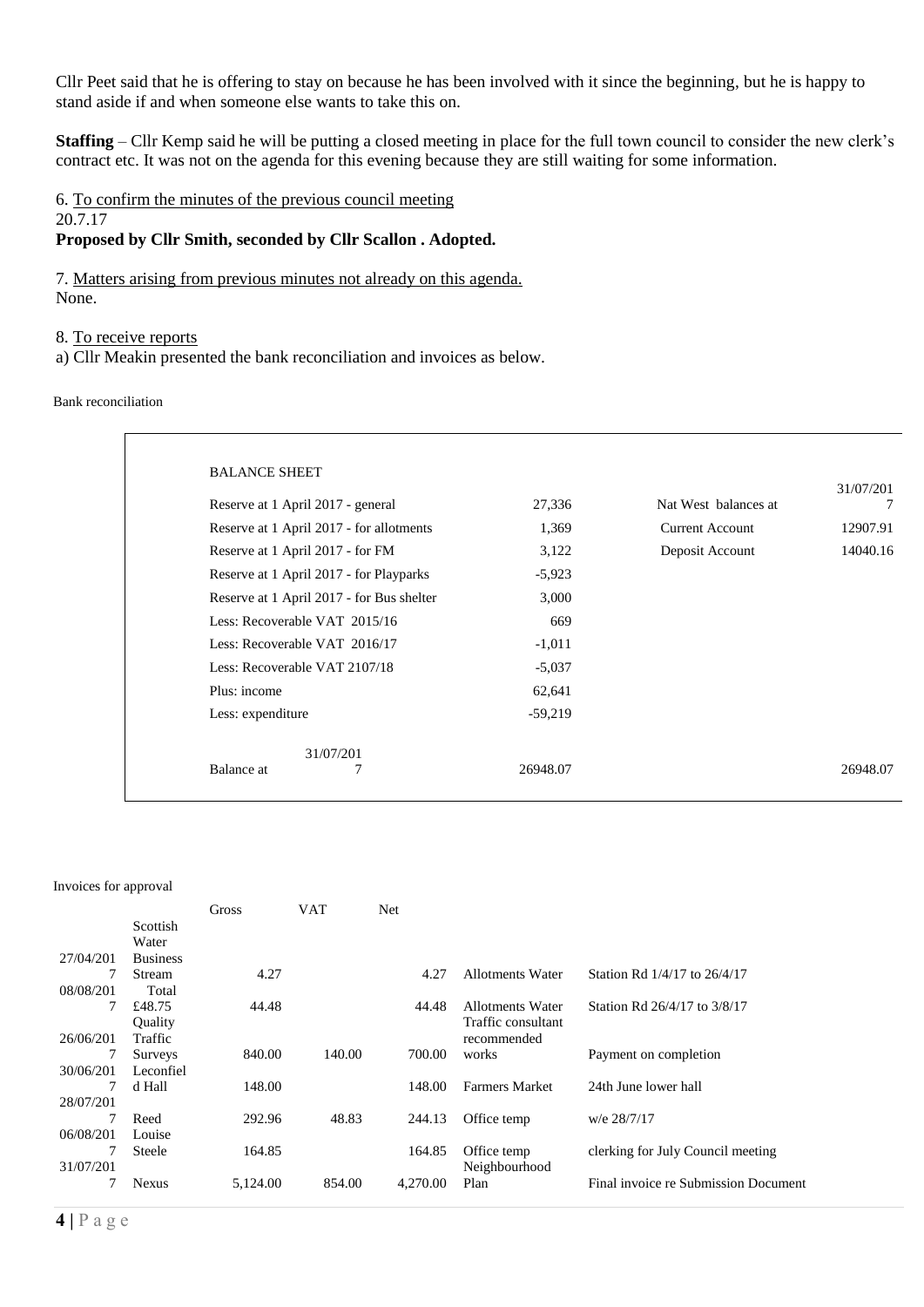Cllr Peet said that he is offering to stay on because he has been involved with it since the beginning, but he is happy to stand aside if and when someone else wants to take this on.

**Staffing** – Cllr Kemp said he will be putting a closed meeting in place for the full town council to consider the new clerk's contract etc. It was not on the agenda for this evening because they are still waiting for some information.

6. To confirm the minutes of the previous council meeting 20.7.17

# **Proposed by Cllr Smith, seconded by Cllr Scallon . Adopted.**

7. Matters arising from previous minutes not already on this agenda. None.

#### 8. To receive reports

a) Cllr Meakin presented the bank reconciliation and invoices as below.

Bank reconciliation

| Reserve at 1 April 2017 - general         | 27,336    | Nat West balances at   | 31/07/201<br>7 |
|-------------------------------------------|-----------|------------------------|----------------|
| Reserve at 1 April 2017 - for allotments  | 1,369     | <b>Current Account</b> | 12907.91       |
| Reserve at 1 April 2017 - for FM          | 3,122     | Deposit Account        | 14040.16       |
| Reserve at 1 April 2017 - for Playparks   | $-5,923$  |                        |                |
| Reserve at 1 April 2017 - for Bus shelter | 3,000     |                        |                |
| Less: Recoverable VAT 2015/16             | 669       |                        |                |
| Less: Recoverable VAT 2016/17             | $-1,011$  |                        |                |
| Less: Recoverable VAT 2107/18             | $-5,037$  |                        |                |
| Plus: income                              | 62,641    |                        |                |
| Less: expenditure                         | $-59,219$ |                        |                |
| 31/07/201                                 |           |                        |                |
| Balance at                                | 26948.07  |                        | 26948.07       |

#### Invoices for approval

|           |                 | Gross    | <b>VAT</b> | Net      |                         |                                      |
|-----------|-----------------|----------|------------|----------|-------------------------|--------------------------------------|
|           | <b>Scottish</b> |          |            |          |                         |                                      |
|           | Water           |          |            |          |                         |                                      |
| 27/04/201 | <b>Business</b> |          |            |          |                         |                                      |
|           | Stream          | 4.27     |            | 4.27     | Allotments Water        | Station Rd 1/4/17 to 26/4/17         |
| 08/08/201 | Total           |          |            |          |                         |                                      |
| 7         | £48.75          | 44.48    |            | 44.48    | <b>Allotments Water</b> | Station Rd 26/4/17 to 3/8/17         |
|           | Ouality         |          |            |          | Traffic consultant      |                                      |
| 26/06/201 | Traffic         |          |            |          | recommended             |                                      |
|           | Surveys         | 840.00   | 140.00     | 700.00   | works                   | Payment on completion                |
| 30/06/201 | Leconfiel       |          |            |          |                         |                                      |
| 7         | d Hall          | 148.00   |            | 148.00   | <b>Farmers Market</b>   | 24th June lower hall                 |
| 28/07/201 |                 |          |            |          |                         |                                      |
|           | Reed            | 292.96   | 48.83      | 244.13   | Office temp             | w/e 28/7/17                          |
| 06/08/201 | Louise          |          |            |          |                         |                                      |
| 7         | Steele          | 164.85   |            | 164.85   | Office temp             | clerking for July Council meeting    |
| 31/07/201 |                 |          |            |          | Neighbourhood           |                                      |
|           | <b>Nexus</b>    | 5,124.00 | 854.00     | 4,270.00 | Plan                    | Final invoice re Submission Document |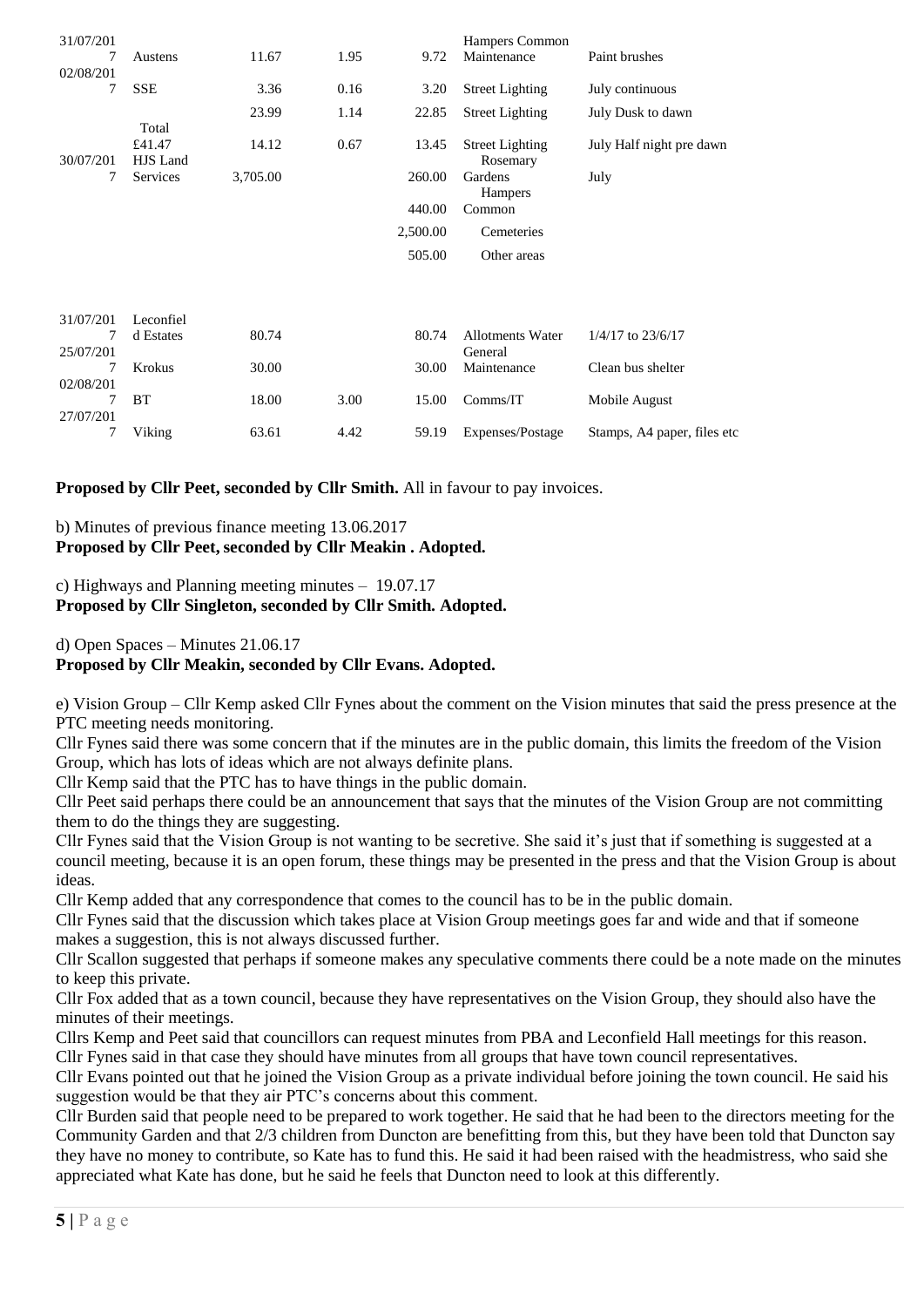| 31/07/201      |                    |          |      |          | Hampers Common                     |                             |
|----------------|--------------------|----------|------|----------|------------------------------------|-----------------------------|
| 7<br>02/08/201 | Austens            | 11.67    | 1.95 | 9.72     | Maintenance                        | Paint brushes               |
| 7              | <b>SSE</b>         | 3.36     | 0.16 | 3.20     | <b>Street Lighting</b>             | July continuous             |
|                |                    | 23.99    | 1.14 | 22.85    | <b>Street Lighting</b>             | July Dusk to dawn           |
|                | Total              |          |      |          |                                    |                             |
| 30/07/201      | £41.47<br>HJS Land | 14.12    | 0.67 | 13.45    | <b>Street Lighting</b><br>Rosemary | July Half night pre dawn    |
| 7              | Services           | 3,705.00 |      | 260.00   | Gardens<br><b>Hampers</b>          | July                        |
|                |                    |          |      | 440.00   | Common                             |                             |
|                |                    |          |      | 2,500.00 | Cemeteries                         |                             |
|                |                    |          |      | 505.00   | Other areas                        |                             |
|                |                    |          |      |          |                                    |                             |
| 31/07/201      | Leconfiel          |          |      |          |                                    |                             |
| 7              | d Estates          | 80.74    |      | 80.74    | <b>Allotments Water</b>            | 1/4/17 to 23/6/17           |
| 25/07/201      |                    |          |      |          | General                            |                             |
| 7              | <b>Krokus</b>      | 30.00    |      | 30.00    | Maintenance                        | Clean bus shelter           |
| 02/08/201      |                    |          |      |          |                                    |                             |
|                | BT                 | 18.00    | 3.00 | 15.00    | Comms/IT                           | Mobile August               |
| 27/07/201      |                    |          |      |          |                                    |                             |
| 7              | Viking             | 63.61    | 4.42 | 59.19    | Expenses/Postage                   | Stamps, A4 paper, files etc |

**Proposed by Cllr Peet, seconded by Cllr Smith.** All in favour to pay invoices.

b) Minutes of previous finance meeting 13.06.2017 **Proposed by Cllr Peet, seconded by Cllr Meakin . Adopted.** 

# c) Highways and Planning meeting minutes – 19.07.17 **Proposed by Cllr Singleton, seconded by Cllr Smith. Adopted.**

d) Open Spaces – Minutes 21.06.17

# **Proposed by Cllr Meakin, seconded by Cllr Evans. Adopted.**

e) Vision Group – Cllr Kemp asked Cllr Fynes about the comment on the Vision minutes that said the press presence at the PTC meeting needs monitoring.

Cllr Fynes said there was some concern that if the minutes are in the public domain, this limits the freedom of the Vision Group, which has lots of ideas which are not always definite plans.

Cllr Kemp said that the PTC has to have things in the public domain.

Cllr Peet said perhaps there could be an announcement that says that the minutes of the Vision Group are not committing them to do the things they are suggesting.

Cllr Fynes said that the Vision Group is not wanting to be secretive. She said it's just that if something is suggested at a council meeting, because it is an open forum, these things may be presented in the press and that the Vision Group is about ideas.

Cllr Kemp added that any correspondence that comes to the council has to be in the public domain.

Cllr Fynes said that the discussion which takes place at Vision Group meetings goes far and wide and that if someone makes a suggestion, this is not always discussed further.

Cllr Scallon suggested that perhaps if someone makes any speculative comments there could be a note made on the minutes to keep this private.

Cllr Fox added that as a town council, because they have representatives on the Vision Group, they should also have the minutes of their meetings.

Cllrs Kemp and Peet said that councillors can request minutes from PBA and Leconfield Hall meetings for this reason. Cllr Fynes said in that case they should have minutes from all groups that have town council representatives.

Cllr Evans pointed out that he joined the Vision Group as a private individual before joining the town council. He said his suggestion would be that they air PTC's concerns about this comment.

Cllr Burden said that people need to be prepared to work together. He said that he had been to the directors meeting for the Community Garden and that 2/3 children from Duncton are benefitting from this, but they have been told that Duncton say they have no money to contribute, so Kate has to fund this. He said it had been raised with the headmistress, who said she appreciated what Kate has done, but he said he feels that Duncton need to look at this differently.